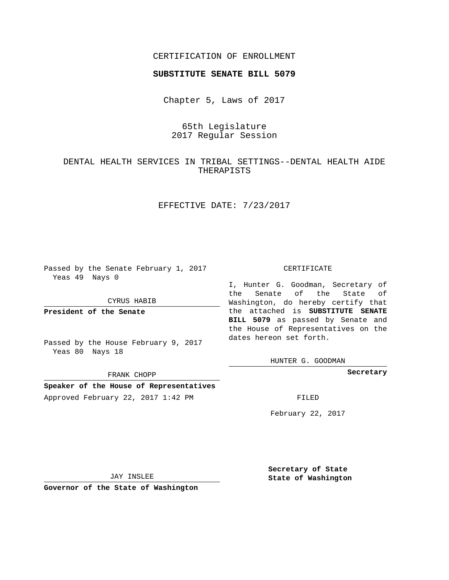## CERTIFICATION OF ENROLLMENT

### **SUBSTITUTE SENATE BILL 5079**

Chapter 5, Laws of 2017

# 65th Legislature 2017 Regular Session

# DENTAL HEALTH SERVICES IN TRIBAL SETTINGS--DENTAL HEALTH AIDE THERAPISTS

## EFFECTIVE DATE: 7/23/2017

Passed by the Senate February 1, 2017 Yeas 49 Nays 0

CYRUS HABIB

**President of the Senate**

Passed by the House February 9, 2017 Yeas 80 Nays 18

FRANK CHOPP

**Speaker of the House of Representatives** Approved February 22, 2017 1:42 PM FILED

#### CERTIFICATE

I, Hunter G. Goodman, Secretary of the Senate of the State of Washington, do hereby certify that the attached is **SUBSTITUTE SENATE BILL 5079** as passed by Senate and the House of Representatives on the dates hereon set forth.

HUNTER G. GOODMAN

**Secretary**

February 22, 2017

JAY INSLEE

**Governor of the State of Washington**

**Secretary of State State of Washington**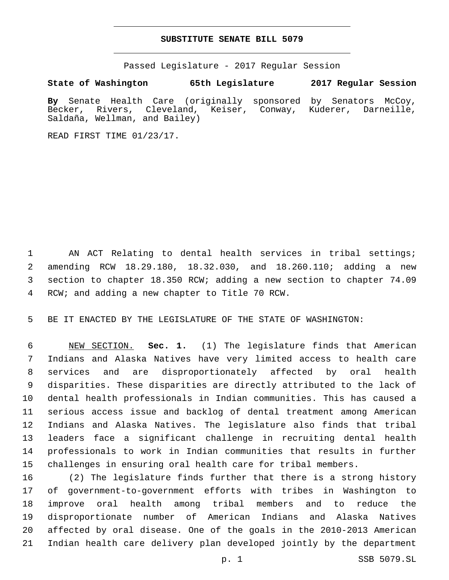### **SUBSTITUTE SENATE BILL 5079**

Passed Legislature - 2017 Regular Session

**State of Washington 65th Legislature 2017 Regular Session**

**By** Senate Health Care (originally sponsored by Senators McCoy, Becker, Rivers, Cleveland, Keiser, Conway, Kuderer, Darneille, Saldaña, Wellman, and Bailey)

READ FIRST TIME 01/23/17.

1 AN ACT Relating to dental health services in tribal settings; amending RCW 18.29.180, 18.32.030, and 18.260.110; adding a new section to chapter 18.350 RCW; adding a new section to chapter 74.09 4 RCW; and adding a new chapter to Title 70 RCW.

BE IT ENACTED BY THE LEGISLATURE OF THE STATE OF WASHINGTON:

 NEW SECTION. **Sec. 1.** (1) The legislature finds that American Indians and Alaska Natives have very limited access to health care services and are disproportionately affected by oral health disparities. These disparities are directly attributed to the lack of dental health professionals in Indian communities. This has caused a serious access issue and backlog of dental treatment among American Indians and Alaska Natives. The legislature also finds that tribal leaders face a significant challenge in recruiting dental health professionals to work in Indian communities that results in further challenges in ensuring oral health care for tribal members.

 (2) The legislature finds further that there is a strong history of government-to-government efforts with tribes in Washington to improve oral health among tribal members and to reduce the disproportionate number of American Indians and Alaska Natives affected by oral disease. One of the goals in the 2010-2013 American Indian health care delivery plan developed jointly by the department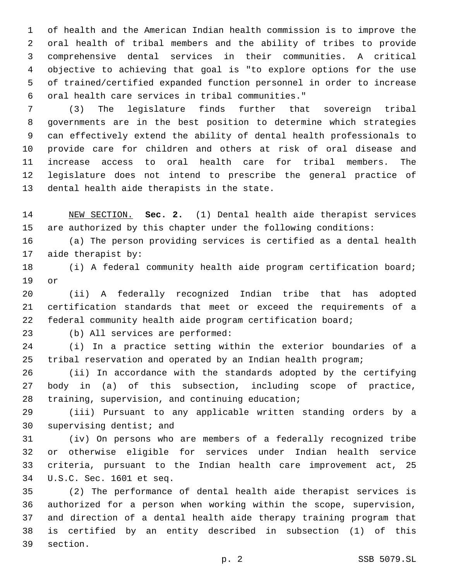of health and the American Indian health commission is to improve the oral health of tribal members and the ability of tribes to provide comprehensive dental services in their communities. A critical objective to achieving that goal is "to explore options for the use of trained/certified expanded function personnel in order to increase oral health care services in tribal communities."6

 (3) The legislature finds further that sovereign tribal governments are in the best position to determine which strategies can effectively extend the ability of dental health professionals to provide care for children and others at risk of oral disease and increase access to oral health care for tribal members. The legislature does not intend to prescribe the general practice of 13 dental health aide therapists in the state.

 NEW SECTION. **Sec. 2.** (1) Dental health aide therapist services are authorized by this chapter under the following conditions:

 (a) The person providing services is certified as a dental health 17 aide therapist by:

 (i) A federal community health aide program certification board; 19 or

 (ii) A federally recognized Indian tribe that has adopted certification standards that meet or exceed the requirements of a federal community health aide program certification board;

23 (b) All services are performed:

 (i) In a practice setting within the exterior boundaries of a tribal reservation and operated by an Indian health program;

 (ii) In accordance with the standards adopted by the certifying body in (a) of this subsection, including scope of practice, 28 training, supervision, and continuing education;

 (iii) Pursuant to any applicable written standing orders by a 30 supervising dentist; and

 (iv) On persons who are members of a federally recognized tribe or otherwise eligible for services under Indian health service criteria, pursuant to the Indian health care improvement act, 25 U.S.C. Sec. 1601 et seq.34

 (2) The performance of dental health aide therapist services is authorized for a person when working within the scope, supervision, and direction of a dental health aide therapy training program that is certified by an entity described in subsection (1) of this 39 section.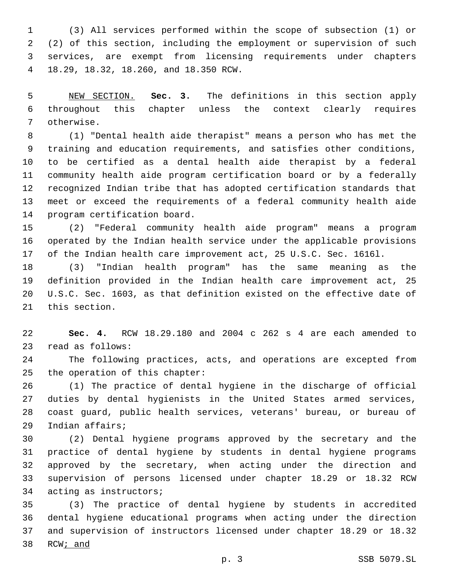(3) All services performed within the scope of subsection (1) or (2) of this section, including the employment or supervision of such services, are exempt from licensing requirements under chapters 18.29, 18.32, 18.260, and 18.350 RCW.4

 NEW SECTION. **Sec. 3.** The definitions in this section apply throughout this chapter unless the context clearly requires otherwise.

 (1) "Dental health aide therapist" means a person who has met the training and education requirements, and satisfies other conditions, to be certified as a dental health aide therapist by a federal community health aide program certification board or by a federally recognized Indian tribe that has adopted certification standards that meet or exceed the requirements of a federal community health aide 14 program certification board.

 (2) "Federal community health aide program" means a program operated by the Indian health service under the applicable provisions of the Indian health care improvement act, 25 U.S.C. Sec. 1616l.

 (3) "Indian health program" has the same meaning as the definition provided in the Indian health care improvement act, 25 U.S.C. Sec. 1603, as that definition existed on the effective date of 21 this section.

 **Sec. 4.** RCW 18.29.180 and 2004 c 262 s 4 are each amended to 23 read as follows:

 The following practices, acts, and operations are excepted from 25 the operation of this chapter:

 (1) The practice of dental hygiene in the discharge of official duties by dental hygienists in the United States armed services, coast guard, public health services, veterans' bureau, or bureau of 29 Indian affairs;

 (2) Dental hygiene programs approved by the secretary and the practice of dental hygiene by students in dental hygiene programs approved by the secretary, when acting under the direction and supervision of persons licensed under chapter 18.29 or 18.32 RCW 34 acting as instructors;

 (3) The practice of dental hygiene by students in accredited dental hygiene educational programs when acting under the direction and supervision of instructors licensed under chapter 18.29 or 18.32 RCW; and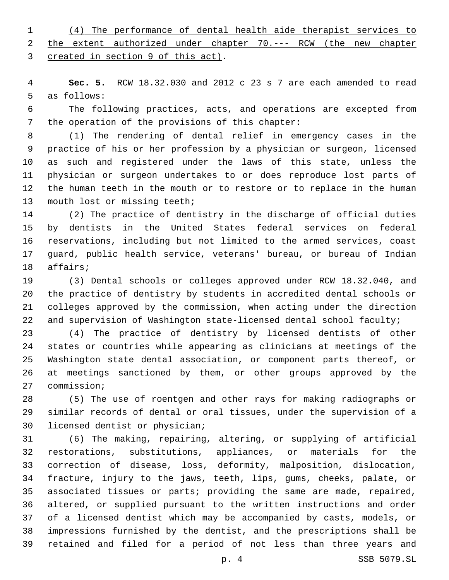(4) The performance of dental health aide therapist services to the extent authorized under chapter 70.--- RCW (the new chapter 3 created in section 9 of this act).

 **Sec. 5.** RCW 18.32.030 and 2012 c 23 s 7 are each amended to read 5 as follows:

 The following practices, acts, and operations are excepted from 7 the operation of the provisions of this chapter:

 (1) The rendering of dental relief in emergency cases in the practice of his or her profession by a physician or surgeon, licensed as such and registered under the laws of this state, unless the physician or surgeon undertakes to or does reproduce lost parts of the human teeth in the mouth or to restore or to replace in the human 13 mouth lost or missing teeth;

 (2) The practice of dentistry in the discharge of official duties by dentists in the United States federal services on federal reservations, including but not limited to the armed services, coast guard, public health service, veterans' bureau, or bureau of Indian 18 affairs;

 (3) Dental schools or colleges approved under RCW 18.32.040, and the practice of dentistry by students in accredited dental schools or colleges approved by the commission, when acting under the direction and supervision of Washington state-licensed dental school faculty;

 (4) The practice of dentistry by licensed dentists of other states or countries while appearing as clinicians at meetings of the Washington state dental association, or component parts thereof, or at meetings sanctioned by them, or other groups approved by the 27 commission;

 (5) The use of roentgen and other rays for making radiographs or similar records of dental or oral tissues, under the supervision of a 30 licensed dentist or physician;

 (6) The making, repairing, altering, or supplying of artificial restorations, substitutions, appliances, or materials for the correction of disease, loss, deformity, malposition, dislocation, fracture, injury to the jaws, teeth, lips, gums, cheeks, palate, or associated tissues or parts; providing the same are made, repaired, altered, or supplied pursuant to the written instructions and order of a licensed dentist which may be accompanied by casts, models, or impressions furnished by the dentist, and the prescriptions shall be retained and filed for a period of not less than three years and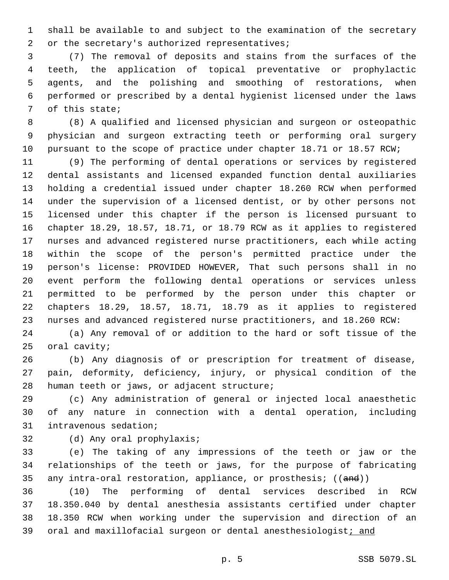shall be available to and subject to the examination of the secretary 2 or the secretary's authorized representatives;

 (7) The removal of deposits and stains from the surfaces of the teeth, the application of topical preventative or prophylactic agents, and the polishing and smoothing of restorations, when performed or prescribed by a dental hygienist licensed under the laws 7 of this state;

 (8) A qualified and licensed physician and surgeon or osteopathic physician and surgeon extracting teeth or performing oral surgery 10 pursuant to the scope of practice under chapter 18.71 or 18.57 RCW;

 (9) The performing of dental operations or services by registered dental assistants and licensed expanded function dental auxiliaries holding a credential issued under chapter 18.260 RCW when performed under the supervision of a licensed dentist, or by other persons not licensed under this chapter if the person is licensed pursuant to chapter 18.29, 18.57, 18.71, or 18.79 RCW as it applies to registered nurses and advanced registered nurse practitioners, each while acting within the scope of the person's permitted practice under the person's license: PROVIDED HOWEVER, That such persons shall in no event perform the following dental operations or services unless permitted to be performed by the person under this chapter or chapters 18.29, 18.57, 18.71, 18.79 as it applies to registered nurses and advanced registered nurse practitioners, and 18.260 RCW:

 (a) Any removal of or addition to the hard or soft tissue of the 25 oral cavity;

 (b) Any diagnosis of or prescription for treatment of disease, pain, deformity, deficiency, injury, or physical condition of the 28 human teeth or jaws, or adjacent structure;

 (c) Any administration of general or injected local anaesthetic of any nature in connection with a dental operation, including 31 intravenous sedation;

32 (d) Any oral prophylaxis;

 (e) The taking of any impressions of the teeth or jaw or the relationships of the teeth or jaws, for the purpose of fabricating 35 any intra-oral restoration, appliance, or prosthesis; ((and))

 (10) The performing of dental services described in RCW 18.350.040 by dental anesthesia assistants certified under chapter 18.350 RCW when working under the supervision and direction of an 39 oral and maxillofacial surgeon or dental anesthesiologist; and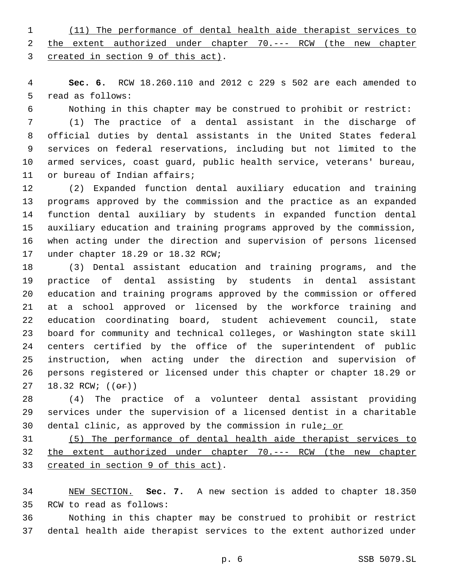(11) The performance of dental health aide therapist services to the extent authorized under chapter 70.--- RCW (the new chapter 3 created in section 9 of this act).

 **Sec. 6.** RCW 18.260.110 and 2012 c 229 s 502 are each amended to 5 read as follows:

Nothing in this chapter may be construed to prohibit or restrict:

 (1) The practice of a dental assistant in the discharge of official duties by dental assistants in the United States federal services on federal reservations, including but not limited to the armed services, coast guard, public health service, veterans' bureau, 11 or bureau of Indian affairs;

 (2) Expanded function dental auxiliary education and training programs approved by the commission and the practice as an expanded function dental auxiliary by students in expanded function dental auxiliary education and training programs approved by the commission, when acting under the direction and supervision of persons licensed 17 under chapter 18.29 or 18.32 RCW;

 (3) Dental assistant education and training programs, and the practice of dental assisting by students in dental assistant education and training programs approved by the commission or offered at a school approved or licensed by the workforce training and education coordinating board, student achievement council, state board for community and technical colleges, or Washington state skill centers certified by the office of the superintendent of public instruction, when acting under the direction and supervision of persons registered or licensed under this chapter or chapter 18.29 or 27 18.32 RCW; (( $\Theta$ ))

 (4) The practice of a volunteer dental assistant providing services under the supervision of a licensed dentist in a charitable dental clinic, as approved by the commission in rule; or

 (5) The performance of dental health aide therapist services to the extent authorized under chapter 70.--- RCW (the new chapter 33 created in section 9 of this act).

 NEW SECTION. **Sec. 7.** A new section is added to chapter 18.350 35 RCW to read as follows:

 Nothing in this chapter may be construed to prohibit or restrict dental health aide therapist services to the extent authorized under

p. 6 SSB 5079.SL